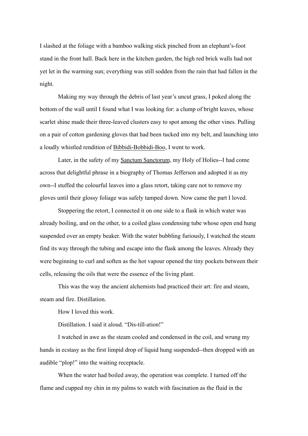I slashed at the foliage with a bamboo walking stick pinched from an elephant's-foot stand in the front hall. Back here in the kitchen garden, the high red brick walls had not yet let in the warming sun; everything was still sodden from the rain that had fallen in the night.

Making my way through the debris of last year's uncut grass, I poked along the bottom of the wall until I found what I was looking for: a clump of bright leaves, whose scarlet shine made their three-leaved clusters easy to spot among the other vines. Pulling on a pair of cotton gardening gloves that had been tucked into my belt, and launching into a loudly whistled rendition of Bibbidi-Bobbidi-Boo, I went to work.

Later, in the safety of my Sanctum Sanctorum, my Holy of Holies--I had come across that delightful phrase in a biography of Thomas Jefferson and adopted it as my own--I stuffed the colourful leaves into a glass retort, taking care not to remove my gloves until their glossy foliage was safely tamped down. Now came the part I loved.

Stoppering the retort, I connected it on one side to a flask in which water was already boiling, and on the other, to a coiled glass condensing tube whose open end hung suspended over an empty beaker. With the water bubbling furiously, I watched the steam find its way through the tubing and escape into the flask among the leaves. Already they were beginning to curl and soften as the hot vapour opened the tiny pockets between their cells, releasing the oils that were the essence of the living plant.

This was the way the ancient alchemists had practiced their art: fire and steam, steam and fire. Distillation.

How I loved this work.

Distillation. I said it aloud. "Dis-till-ation!"

I watched in awe as the steam cooled and condensed in the coil, and wrung my hands in ecstasy as the first limpid drop of liquid hung suspended--then dropped with an audible "plop!" into the waiting receptacle.

When the water had boiled away, the operation was complete. I turned off the flame and cupped my chin in my palms to watch with fascination as the fluid in the